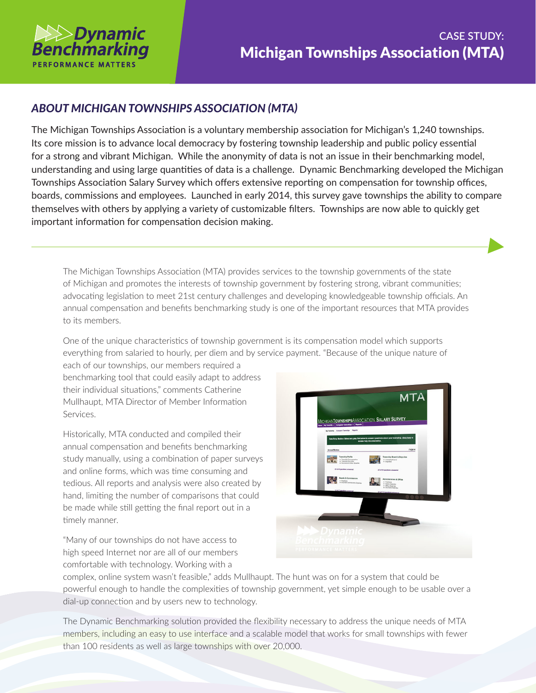

## *ABOUT MICHIGAN TOWNSHIPS ASSOCIATION (MTA)*

The Michigan Townships Association is a voluntary membership association for Michigan's 1,240 townships. Its core mission is to advance local democracy by fostering township leadership and public policy essential for a strong and vibrant Michigan. While the anonymity of data is not an issue in their benchmarking model, understanding and using large quantities of data is a challenge. Dynamic Benchmarking developed the Michigan Townships Association Salary Survey which offers extensive reporting on compensation for township offices, boards, commissions and employees. Launched in early 2014, this survey gave townships the ability to compare themselves with others by applying a variety of customizable filters. Townships are now able to quickly get important information for compensation decision making.

The Michigan Townships Association (MTA) provides services to the township governments of the state of Michigan and promotes the interests of township government by fostering strong, vibrant communities; advocating legislation to meet 21st century challenges and developing knowledgeable township officials. An annual compensation and benefits benchmarking study is one of the important resources that MTA provides to its members.

One of the unique characteristics of township government is its compensation model which supports everything from salaried to hourly, per diem and by service payment. "Because of the unique nature of

each of our townships, our members required a benchmarking tool that could easily adapt to address their individual situations," comments Catherine Mullhaupt, MTA Director of Member Information Services.

Historically, MTA conducted and compiled their annual compensation and benefits benchmarking study manually, using a combination of paper surveys and online forms, which was time consuming and tedious. All reports and analysis were also created by hand, limiting the number of comparisons that could be made while still getting the final report out in a timely manner.

"Many of our townships do not have access to high speed Internet nor are all of our members comfortable with technology. Working with a



complex, online system wasn't feasible," adds Mullhaupt. The hunt was on for a system that could be powerful enough to handle the complexities of township government, yet simple enough to be usable over a dial-up connection and by users new to technology.

The Dynamic Benchmarking solution provided the flexibility necessary to address the unique needs of MTA members, including an easy to use interface and a scalable model that works for small townships with fewer than 100 residents as well as large townships with over 20,000.